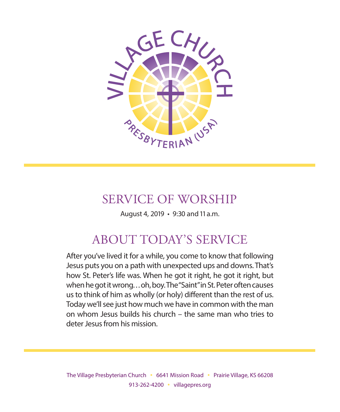

# SERVICE OF WORSHIP

August 4, 2019 • 9:30 and 11 a.m.

# ABOUT TODAY'S SERVICE

After you've lived it for a while, you come to know that following Jesus puts you on a path with unexpected ups and downs. That's how St. Peter's life was. When he got it right, he got it right, but when he got it wrong. . . oh, boy. The "Saint" in St. Peter often causes us to think of him as wholly (or holy) different than the rest of us. Today we'll see just how much we have in common with the man on whom Jesus builds his church – the same man who tries to deter Jesus from his mission.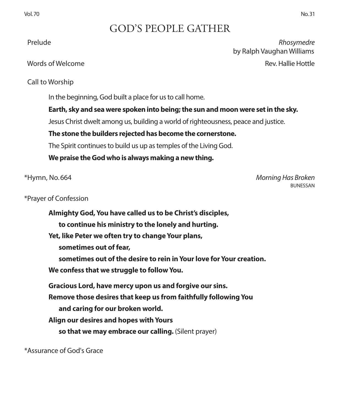# GOD'S PEOPLE GATHER

 Prelude *Rhosymedre* by Ralph Vaughan Williams Words of Welcome Rev. Hallie Hottle

Call to Worship

In the beginning, God built a place for us to call home.

**Earth, sky and sea were spoken into being; the sun and moon were set in the sky.** 

Jesus Christ dwelt among us, building a world of righteousness, peace and justice.

**The stone the builders rejected has become the cornerstone.** 

The Spirit continues to build us up as temples of the Living God.

**We praise the God who is always making a new thing.**

\*Hymn, No. 664 *Morning Has Broken* **BUNESSAN** 

\*Prayer of Confession

**Almighty God, You have called us to be Christ's disciples, to continue his ministry to the lonely and hurting. Yet, like Peter we often try to change Your plans, sometimes out of fear, sometimes out of the desire to rein in Your love for Your creation. We confess that we struggle to follow You. Gracious Lord, have mercy upon us and forgive our sins. Remove those desires that keep us from faithfully following You and caring for our broken world. Align our desires and hopes with Yours so that we may embrace our calling.** (Silent prayer)

\*Assurance of God's Grace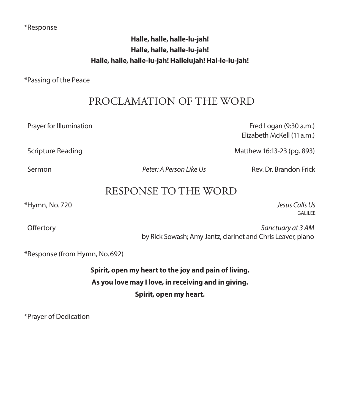### \*Response

## **Halle, halle, halle-lu-jah! Halle, halle, halle-lu-jah! Halle, halle, halle-lu-jah! Hallelujah! Hal-le-lu-jah!**

\*Passing of the Peace

# PROCLAMATION OF THE WORD

Prayer for Illumination Fred Logan (9:30 a.m.)

Scripture Reading Matthew 16:13-23 (pg. 893)

Sermon *Peter: A Person Like Us* Rev. Dr. Brandon Frick

Elizabeth McKell (11 a.m.)

# RESPONSE TO THE WORD

\*Hymn, No. 720 *Jesus Calls Us*

GALILEE

 Offertory *Sanctuary at 3 AM* by Rick Sowash; Amy Jantz, clarinet and Chris Leaver, piano

\*Response (from Hymn, No. 692)

**Spirit, open my heart to the joy and pain of living. As you love may I love, in receiving and in giving. Spirit, open my heart.**

\*Prayer of Dedication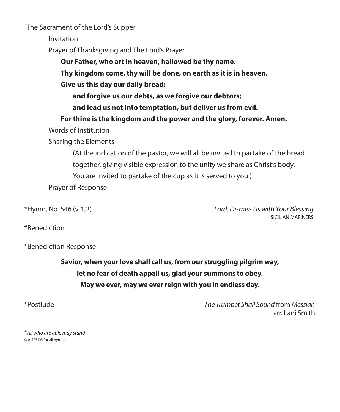The Sacrament of the Lord's Supper

Invitation

Prayer of Thanksgiving and The Lord's Prayer

**Our Father, who art in heaven, hallowed be thy name.**

**Thy kingdom come, thy will be done, on earth as it is in heaven.**

**Give us this day our daily bread;**

**and forgive us our debts, as we forgive our debtors;**

**and lead us not into temptation, but deliver us from evil.**

 **For thine is the kingdom and the power and the glory, forever. Amen.**

Words of Institution

Sharing the Elements

 (At the indication of the pastor, we will all be invited to partake of the bread together, giving visible expression to the unity we share as Christ's body. You are invited to partake of the cup as it is served to you.) Prayer of Response

\*Hymn, No. 546 (v. 1,2) *Lord, Dismiss Us with Your Blessing* SICILIAN MARINERS

\*Benediction

\*Benediction Response

**Savior, when your love shall call us, from our struggling pilgrim way, let no fear of death appall us, glad your summons to obey. May we ever, may we ever reign with you in endless day.**

\*Postlude *The Trumpet Shall Sound* from *Messiah* arr. Lani Smith

\**All who are able may stand ©* A-705103 for all hymns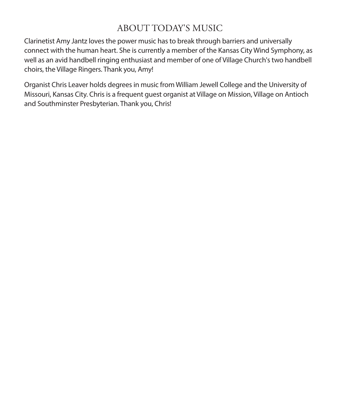# ABOUT TODAY'S MUSIC

Clarinetist Amy Jantz loves the power music has to break through barriers and universally connect with the human heart. She is currently a member of the Kansas City Wind Symphony, as well as an avid handbell ringing enthusiast and member of one of Village Church's two handbell choirs, the Village Ringers. Thank you, Amy!

Organist Chris Leaver holds degrees in music from William Jewell College and the University of Missouri, Kansas City. Chris is a frequent guest organist at Village on Mission, Village on Antioch and Southminster Presbyterian. Thank you, Chris!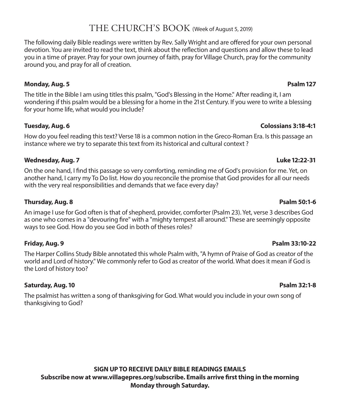# THE CHURCH'S BOOK (Week of August 5, 2019)

The following daily Bible readings were written by Rev. Sally Wright and are offered for your own personal devotion. You are invited to read the text, think about the reflection and questions and allow these to lead you in a time of prayer. Pray for your own journey of faith, pray for Village Church, pray for the community around you, and pray for all of creation.

### **Monday, Aug. 5 Psalm 127**

The title in the Bible I am using titles this psalm, "God's Blessing in the Home." After reading it, I am wondering if this psalm would be a blessing for a home in the 21st Century. If you were to write a blessing for your home life, what would you include?

## **Tuesday, Aug. 6 Colossians 3:18-4:1**

How do you feel reading this text? Verse 18 is a common notion in the Greco-Roman Era. Is this passage an instance where we try to separate this text from its historical and cultural context ?

## **Wednesday, Aug. 7 Luke 12:22-31**

On the one hand, I find this passage so very comforting, reminding me of God's provision for me. Yet, on another hand, I carry my To Do list. How do you reconcile the promise that God provides for all our needs with the very real responsibilities and demands that we face every day?

## **Thursday, Aug. 8 Psalm 50:1-6**

An image I use for God often is that of shepherd, provider, comforter (Psalm 23). Yet, verse 3 describes God as one who comes in a "devouring fire" with a "mighty tempest all around." These are seemingly opposite ways to see God. How do you see God in both of theses roles?

### **Friday, Aug. 9 Psalm 33:10-22**

The Harper Collins Study Bible annotated this whole Psalm with, "A hymn of Praise of God as creator of the world and Lord of history." We commonly refer to God as creator of the world. What does it mean if God is the Lord of history too?

## **Saturday, Aug. 10 Psalm 32:1-8**

The psalmist has written a song of thanksgiving for God. What would you include in your own song of thanksgiving to God?

**SIGN UP TO RECEIVE DAILY BIBLE READINGS EMAILS Subscribe now at www.villagepres.org/subscribe. Emails arrive first thing in the morning Monday through Saturday.**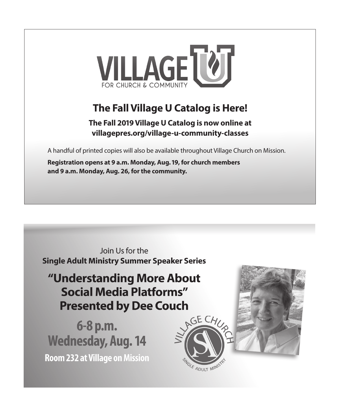

# **The Fall Village U Catalog is Here!**

**The Fall 2019 Village U Catalog is now online at villagepres.org/village-u-community-classes**

A handful of printed copies will also be available throughout Village Church on Mission.

**Registration opens at 9 a.m. Monday, Aug. 19, for church members and 9 a.m. Monday, Aug. 26, for the community.**

Join Us for the **Single Adult Ministry Summer Speaker Series** 

"Understanding More About **Social Media Platforms" Presented by Dee Couch** 

6-8 p.m. **Wednesday, Aug. 14 Room 232 at Village on Mission** 



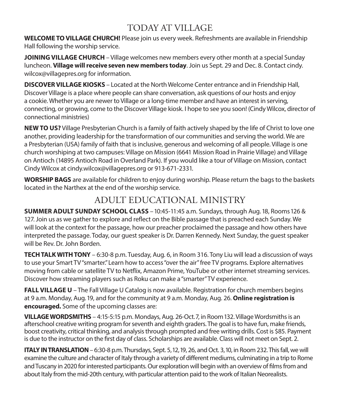# TODAY AT VILLAGE

**WELCOME TO VILLAGE CHURCH!** Please join us every week. Refreshments are available in Friendship Hall following the worship service.

**JOINING VILLAGE CHURCH** – Village welcomes new members every other month at a special Sunday luncheon. **Village will receive seven new members today**. Join us Sept. 29 and Dec. 8. Contact cindy. wilcox@villagepres.org for information.

**DISCOVER VILLAGE KIOSKS** – Located at the North Welcome Center entrance and in Friendship Hall, Discover Village is a place where people can share conversation, ask questions of our hosts and enjoy a cookie. Whether you are newer to Village or a long-time member and have an interest in serving, connecting, or growing, come to the Discover Village kiosk. I hope to see you soon! (Cindy Wilcox, director of connectional ministries)

**NEW TO US?** Village Presbyterian Church is a family of faith actively shaped by the life of Christ to love one another, providing leadership for the transformation of our communities and serving the world. We are a Presbyterian (USA) family of faith that is inclusive, generous and welcoming of all people. Village is one church worshiping at two campuses: Village on Mission (6641 Mission Road in Prairie Village) and Village on Antioch (14895 Antioch Road in Overland Park). If you would like a tour of Village on Mission, contact Cindy Wilcox at cindy.wilcox@villagepres.org or 913-671-2331.

**WORSHIP BAGS** are available for children to enjoy during worship. Please return the bags to the baskets located in the Narthex at the end of the worship service.

# ADULT EDUCATIONAL MINISTRY

**SUMMER ADULT SUNDAY SCHOOL CLASS** – 10:45-11:45 a.m. Sundays, through Aug. 18, Rooms 126 & 127. Join us as we gather to explore and reflect on the Bible passage that is preached each Sunday. We will look at the context for the passage, how our preacher proclaimed the passage and how others have interpreted the passage. Today, our guest speaker is Dr. Darren Kennedy. Next Sunday, the guest speaker will be Rev. Dr. John Borden.

**TECH TALK WITH TONY** – 6:30-8 p.m. Tuesday, Aug. 6, in Room 316. Tony Liu will lead a discussion of ways to use your Smart TV "smarter." Learn how to access "over the air" free TV programs. Explore alternatives moving from cable or satellite TV to Netflix, Amazon Prime, YouTube or other internet streaming services. Discover how streaming players such as Roku can make a "smarter" TV experience.

**FALL VILLAGE U** – The Fall Village U Catalog is now available. Registration for church members begins at 9 a.m. Monday, Aug. 19, and for the community at 9 a.m. Monday, Aug. 26. **Online registration is encouraged.** Some of the upcoming classes are:

**VILLAGE WORDSMITHS** – 4:15-5:15 p.m. Mondays, Aug. 26-Oct. 7, in Room 132. Village Wordsmiths is an afterschool creative writing program for seventh and eighth graders. The goal is to have fun, make friends, boost creativity, critical thinking, and analysis through prompted and free writing drills. Cost is \$85. Payment is due to the instructor on the first day of class. Scholarships are available. Class will not meet on Sept. 2.

**ITALY IN TRANSLATION** – 6:30-8 p.m. Thursdays, Sept. 5, 12, 19, 26, and Oct. 3, 10, in Room 232. This fall, we will examine the culture and character of Italy through a variety of different mediums, culminating in a trip to Rome and Tuscany in 2020 for interested participants. Our exploration will begin with an overview of films from and about Italy from the mid-20th century, with particular attention paid to the work of Italian Neorealists.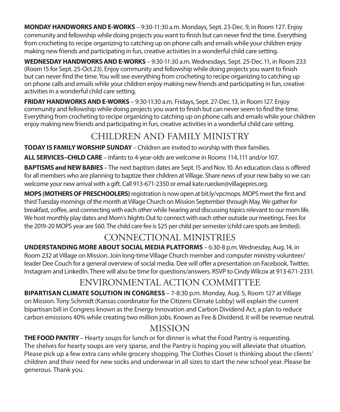**MONDAY HANDWORKS AND E-WORKS** – 9:30-11:30 a.m. Mondays, Sept. 23-Dec. 9, in Room 127. Enjoy community and fellowship while doing projects you want to finish but can never find the time. Everything from crocheting to recipe organizing to catching up on phone calls and emails while your children enjoy making new friends and participating in fun, creative activities in a wonderful child care setting.

**WEDNESDAY HANDWORKS AND E-WORKS** – 9:30-11:30 a.m. Wednesdays, Sept. 25-Dec. 11, in Room 233 (Room 15 for Sept. 25-Oct.23). Enjoy community and fellowship while doing projects you want to finish but can never find the time. You will see everything from crocheting to recipe organizing to catching up on phone calls and emails while your children enjoy making new friends and participating in fun, creative activities in a wonderful child care setting.

**FRIDAY HANDWORKS AND E-WORKS** – 9:30-11:30 a.m. Fridays, Sept. 27-Dec. 13, in Room 127. Enjoy community and fellowship while doing projects you want to finish but can never seem to find the time. Everything from crocheting to recipe organizing to catching up on phone calls and emails while your children enjoy making new friends and participating in fun, creative activities in a wonderful child care setting.

# CHILDREN AND FAMILY MINISTRY

**TODAY IS FAMILY WORSHIP SUNDAY** – Children are invited to worship with their families.

**ALL SERVICES–CHILD CARE** – Infants to 4-year-olds are welcome in Rooms 114, 111 and/or 107.

**BAPTISMS and NEW BABIES** – The next baptism dates are Sept. 15 and Nov. 10. An education class is offered for all members who are planning to baptize their children at Village. Share news of your new baby so we can welcome your new arrival with a gift. Call 913-671-2350 or email kate.ruecker@villagepres.org.

**MOPS (MOTHERS OF PRESCHOOLERS)** registration is now open at bit.ly/vpcmops. MOPS meet the first and third Tuesday mornings of the month at Village Church on Mission September through May. We gather for breakfast, coffee, and connecting with each other while hearing and discussing topics relevant to our mom life. We host monthly play dates and Mom's Nights Out to connect with each other outside our meetings. Fees for the 2019-20 MOPS year are \$60. The child care fee is \$25 per child per semester (child care spots are limited).

# CONNECTIONAL MINISTRIES

**UNDERSTANDING MORE ABOUT SOCIAL MEDIA PLATFORMS** – 6:30-8 p.m. Wednesday, Aug. 14, in Room 232 at Village on Mission. Join long-time Village Church member and computer ministry volunteer/ leader Dee Couch for a general overview of social media. Dee will offer a presentation on Facebook, Twitter, Instagram and LinkedIn. There will also be time for questions/answers. RSVP to Cindy Wilcox at 913-671-2331.

# ENVIRONMENTAL ACTION COMMITTEE

**BIPARTISAN CLIMATE SOLUTION IN CONGRESS** – 7-8:30 p.m. Monday, Aug. 5, Room 127 at Village on Mission. Tony Schmidt (Kansas coordinator for the Citizens Climate Lobby) will explain the current bipartisan bill in Congress known as the Energy Innovation and Carbon Dividend Act, a plan to reduce carbon emissions 40% while creating two million jobs. Known as Fee & Dividend, it will be revenue neutral.

# **MISSION**

**THE FOOD PANTRY** – Hearty soups for lunch or for dinner is what the Food Pantry is requesting. The shelves for hearty soups are very sparse, and the Pantry is hoping you will alleviate that situation. Please pick up a few extra cans while grocery shopping. The Clothes Closet is thinking about the clients' children and their need for new socks and underwear in all sizes to start the new school year. Please be generous. Thank you.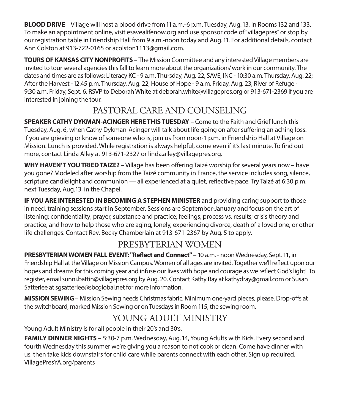**BLOOD DRIVE** – Village will host a blood drive from 11 a.m.-6 p.m. Tuesday, Aug. 13, in Rooms 132 and 133. To make an appointment online, visit esavealifenow.org and use sponsor code of "villagepres" or stop by our registration table in Friendship Hall from 9 a.m.-noon today and Aug. 11. For additional details, contact Ann Colston at 913-722-0165 or acolston1113@gmail.com.

**TOURS OF KANSAS CITY NONPROFITS** – The Mission Committee and any interested Village members are invited to tour several agencies this fall to learn more about the organizations' work in our community. The dates and times are as follows: Literacy KC - 9 a.m. Thursday, Aug. 22; SAVE, INC - 10:30 a.m. Thursday, Aug. 22; After the Harvest - 12:45 p.m. Thursday, Aug. 22; House of Hope - 9 a.m. Friday, Aug. 23; River of Refuge - 9:30 a.m. Friday, Sept. 6. RSVP to Deborah White at deborah.white@villagepres.org or 913-671-2369 if you are interested in joining the tour.

# PASTORAL CARE AND COUNSELING

**SPEAKER CATHY DYKMAN-ACINGER HERE THIS TUESDAY** – Come to the Faith and Grief lunch this Tuesday, Aug. 6, when Cathy Dykman-Acinger will talk about life going on after suffering an aching loss. If you are grieving or know of someone who is, join us from noon-1 p.m. in Friendship Hall at Village on Mission. Lunch is provided. While registration is always helpful, come even if it's last minute. To find out more, contact Linda Alley at 913-671-2327 or linda.alley@villagepres.org.

**WHY HAVEN'T YOU TRIED TAIZE?** – Village has been offering Taizé worship for several years now – have you gone? Modeled after worship from the Taizé community in France, the service includes song, silence, scripture candlelight and communion — all experienced at a quiet, reflective pace. Try Taizé at 6:30 p.m. next Tuesday, Aug.13, in the Chapel.

**IF YOU ARE INTERESTED IN BECOMING A STEPHEN MINISTER** and providing caring support to those in need, training sessions start in September. Sessions are September-January and focus on the art of listening; confidentiality; prayer, substance and practice; feelings; process vs. results; crisis theory and practice; and how to help those who are aging, lonely, experiencing divorce, death of a loved one, or other life challenges. Contact Rev. Becky Chamberlain at 913-671-2367 by Aug. 5 to apply.

# PRESBYTERIAN WOMEN

**PRESBYTERIAN WOMEN FALL EVENT: "Reflect and Connect"** – 10 a.m. - noon Wednesday, Sept. 11, in Friendship Hall at the Village on Mission Campus. Women of all ages are invited. Together we'll reflect upon our hopes and dreams for this coming year and infuse our lives with hope and courage as we reflect God's light! To register, email sunni.battin@villagepres.org by Aug. 20. Contact Kathy Ray at kathydray@gmail.com or Susan Satterlee at sgsatterlee@sbcglobal.net for more information.

**MISSION SEWING**– Mission Sewing needs Christmas fabric. Minimum one-yard pieces, please. Drop-offs at the switchboard, marked Mission Sewing or on Tuesdays in Room 115, the sewing room.

# YOUNG ADULT MINISTRY

Young Adult Ministry is for all people in their 20's and 30's.

**FAMILY DINNER NIGHTS** – 5:30-7 p.m. Wednesday, Aug. 14, Young Adults with Kids. Every second and fourth Wednesday this summer we're giving you a reason to not cook or clean. Come have dinner with us, then take kids downstairs for child care while parents connect with each other. Sign up required. VillagePresYA.org/parents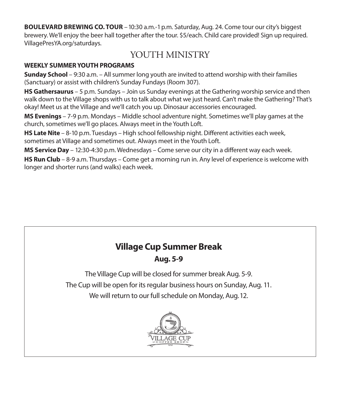**BOULEVARD BREWING CO. TOUR** – 10:30 a.m.-1 p.m. Saturday, Aug. 24. Come tour our city's biggest brewery. We'll enjoy the beer hall together after the tour. \$5/each. Child care provided! Sign up required. VillagePresYA.org/saturdays.

# YOUTH MINISTRY

## **WEEKLY SUMMER YOUTH PROGRAMS**

**Sunday School** – 9:30 a.m. – All summer long youth are invited to attend worship with their families (Sanctuary) or assist with children's Sunday Fundays (Room 307).

**HS Gathersaurus** – 5 p.m. Sundays – Join us Sunday evenings at the Gathering worship service and then walk down to the Village shops with us to talk about what we just heard. Can't make the Gathering? That's okay! Meet us at the Village and we'll catch you up. Dinosaur accessories encouraged.

**MS Evenings** – 7-9 p.m. Mondays – Middle school adventure night. Sometimes we'll play games at the church, sometimes we'll go places. Always meet in the Youth Loft.

**HS Late Nite** – 8-10 p.m. Tuesdays – High school fellowship night. Different activities each week, sometimes at Village and sometimes out. Always meet in the Youth Loft.

**MS Service Day** – 12:30-4:30 p.m. Wednesdays – Come serve our city in a different way each week.

**HS Run Club** – 8-9 a.m. Thursdays – Come get a morning run in. Any level of experience is welcome with longer and shorter runs (and walks) each week.

# **Village Cup Summer Break Aug. 5-9**

The Village Cup will be closed for summer break Aug. 5-9. The Cup will be open for its regular business hours on Sunday, Aug. 11. We will return to our full schedule on Monday, Aug. 12.